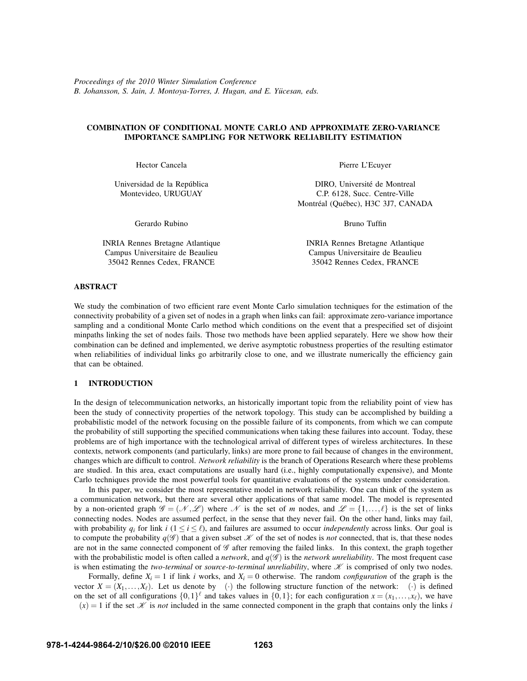*Proceedings of the 2010 Winter Simulation Conference B. Johansson, S. Jain, J. Montoya-Torres, J. Hugan, and E. Yucesan, eds. ¨*

# **COMBINATION OF CONDITIONAL MONTE CARLO AND APPROXIMATE ZERO-VARIANCE IMPORTANCE SAMPLING FOR NETWORK RELIABILITY ESTIMATION**

Hector Cancela

Universidad de la República Montevideo, URUGUAY

Gerardo Rubino

INRIA Rennes Bretagne Atlantique Campus Universitaire de Beaulieu 35042 Rennes Cedex, FRANCE

Pierre L'Ecuyer

DIRO, Université de Montreal C.P. 6128, Succ. Centre-Ville Montréal (Québec), H3C 3J7, CANADA

Bruno Tuffin

INRIA Rennes Bretagne Atlantique Campus Universitaire de Beaulieu 35042 Rennes Cedex, FRANCE

## **ABSTRACT**

We study the combination of two efficient rare event Monte Carlo simulation techniques for the estimation of the connectivity probability of a given set of nodes in a graph when links can fail: approximate zero-variance importance sampling and a conditional Monte Carlo method which conditions on the event that a prespecified set of disjoint minpaths linking the set of nodes fails. Those two methods have been applied separately. Here we show how their combination can be defined and implemented, we derive asymptotic robustness properties of the resulting estimator when reliabilities of individual links go arbitrarily close to one, and we illustrate numerically the efficiency gain that can be obtained.

### **1 INTRODUCTION**

In the design of telecommunication networks, an historically important topic from the reliability point of view has been the study of connectivity properties of the network topology. This study can be accomplished by building a probabilistic model of the network focusing on the possible failure of its components, from which we can compute the probability of still supporting the specified communications when taking these failures into account. Today, these problems are of high importance with the technological arrival of different types of wireless architectures. In these contexts, network components (and particularly, links) are more prone to fail because of changes in the environment, changes which are difficult to control. *Network reliability* is the branch of Operations Research where these problems are studied. In this area, exact computations are usually hard (i.e., highly computationally expensive), and Monte Carlo techniques provide the most powerful tools for quantitative evaluations of the systems under consideration.

In this paper, we consider the most representative model in network reliability. One can think of the system as a communication network, but there are several other applications of that same model. The model is represented by a non-oriented graph  $\mathscr{G} = (\mathscr{N}, \mathscr{L})$  where  $\mathscr{N}$  is the set of *m* nodes, and  $\mathscr{L} = \{1, ..., \ell\}$  is the set of links connecting nodes. Nodes are assumed perfect, in the sense that they never fail. On the other hand, links may fail, with probability  $q_i$  for link  $i$  ( $1 \le i \le \ell$ ), and failures are assumed to occur *independently* across links. Our goal is to compute the probability  $q(\mathscr{G})$  that a given subset  $\mathscr K$  of the set of nodes is *not* connected, that is, that these nodes are not in the same connected component of  $G$  after removing the failed links. In this context, the graph together with the probabilistic model is often called a *network*, and  $q(\mathscr{G})$  is the *network unreliability*. The most frequent case is when estimating the *two-terminal* or *source-to-terminal unreliability*, where  $K$  is comprised of only two nodes.

Formally, define  $X_i = 1$  if link *i* works, and  $X_i = 0$  otherwise. The random *configuration* of the graph is the vector  $X = (X_1, \ldots, X_\ell)$ . Let us denote by  $\phi(\cdot)$  the following structure function of the network:  $\phi(\cdot)$  is defined on the set of all configurations  $\{0,1\}^{\ell}$  and takes values in  $\{0,1\}$ ; for each configuration  $x = (x_1,...,x_{\ell})$ , we have  $\phi(x) = 1$  if the set  $\mathcal X$  is *not* included in the same connected component in the graph that contains only the links *i*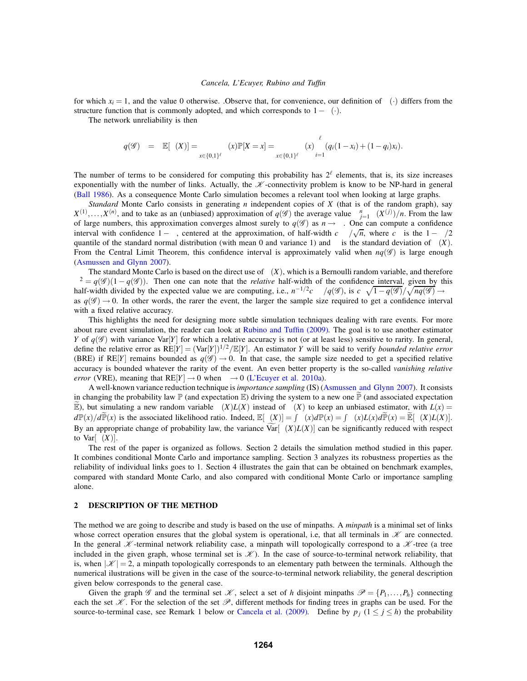for which  $x_i = 1$ , and the value 0 otherwise. Observe that, for convenience, our definition of  $\phi(\cdot)$  differs from the structure function that is commonly adopted, and which corresponds to  $1-\phi(\cdot)$ .

The network unreliability is then

$$
q(\mathscr{G}) = \mathbb{E}[\phi(X)] = \sum_{x \in \{0,1\}^{\ell}} \phi(x) \mathbb{P}[X=x] = \sum_{x \in \{0,1\}^{\ell}} \phi(x) \prod_{i=1}^{\ell} (q_i(1-x_i) + (1-q_i)x_i).
$$

The number of terms to be considered for computing this probability has  $2^{\ell}$  elements, that is, its size increases exponentially with the number of links. Actually, the  $K$ -connectivity problem is know to be NP-hard in general (Ball 1986). As a consequence Monte Carlo simulation becomes a relevant tool when looking at large graphs.

*Standard* Monte Carlo consists in generating *n* independent copies of *X* (that is of the random graph), say  $X^{(1)}, \ldots, X^{(n)}$ , and to take as an (unbiased) approximation of  $q(\mathscr{G})$  the average value  $\sum_{j=1}^{n} \phi(X^{(j)})/n$ . From the law of large numbers, this approximation converges almost surely to  $q(\mathscr{G})$  as  $n \to \infty$ . One can compute a confidence interval with confidence  $1 - \alpha$ , centered at the approximation, of half-width  $c_{\alpha}\sigma/\sqrt{n}$ , where  $c_{\alpha}$  is the  $1 - \alpha/2$ quantile of the standard normal distribution (with mean 0 and variance 1) and  $\sigma$  is the standard deviation of  $\phi(X)$ . From the Central Limit Theorem, this confidence interval is approximately valid when  $nq(\mathscr{G})$  is large enough (Asmussen and Glynn 2007).

The standard Monte Carlo is based on the direct use of  $\phi(X)$ , which is a Bernoulli random variable, and therefore  $\sigma^2 = q(\mathscr{G})(1 - q(\mathscr{G}))$ . Then one can note that the *relative* half-width of the confidence interval, given by this half-width divided by the expected value we are computing, i.e.,  $n^{-1/2}c_{\alpha}\sigma/q(\mathscr{G})$ , is  $c_{\alpha}\sqrt{1-q(\mathscr{G})}/\sqrt{nq(\mathscr{G})} \to \infty$ as  $q(\mathscr{G}) \to 0$ . In other words, the rarer the event, the larger the sample size required to get a confidence interval with a fixed relative accuracy.

This highlights the need for designing more subtle simulation techniques dealing with rare events. For more about rare event simulation, the reader can look at Rubino and Tuffin (2009). The goal is to use another estimator *Y* of  $q(\mathscr{G})$  with variance Var $[Y]$  for which a relative accuracy is not (or at least less) sensitive to rarity. In general, define the relative error as  $RE[Y] = (Var[Y])^{1/2}/E[Y]$ . An estimator *Y* will be said to verify *bounded relative error* (BRE) if RE[*Y*] remains bounded as  $q(\mathscr{G}) \to 0$ . In that case, the sample size needed to get a specified relative accuracy is bounded whatever the rarity of the event. An even better property is the so-called *vanishing relative error* (VRE), meaning that  $RE[Y] \rightarrow 0$  when  $\varepsilon \rightarrow 0$  (L'Ecuyer et al. 2010a).

A well-known variance reduction technique is *importance sampling* (IS) (Asmussen and Glynn 2007). It consists in changing the probability law  $\mathbb P$  (and expectation  $\mathbb E$ ) driving the system to a new one  $\mathbb P$  (and associated expectation  $\widetilde{E}$ ), but simulating a new random variable  $\phi(X)L(X)$  instead of  $\phi(X)$  to keep an unbiased estimator, with  $L(x)$  =  $d\mathbb{P}(x)/d\widetilde{\mathbb{P}}(x)$  is the associated likelihood ratio. Indeed,  $\mathbb{E}[\phi(X)] = \int \phi(x)d\mathbb{P}(x) = \int \phi(x)L(x)d\widetilde{\mathbb{P}}(x) = \widetilde{\mathbb{E}}[\phi(X)L(X)].$ By an appropriate change of probability law, the variance  $Var[\phi(X)L(X)]$  can be significantly reduced with respect to  $Var[\phi(X)]$ .

The rest of the paper is organized as follows. Section 2 details the simulation method studied in this paper. It combines conditional Monte Carlo and importance sampling. Section 3 analyzes its robustness properties as the reliability of individual links goes to 1. Section 4 illustrates the gain that can be obtained on benchmark examples, compared with standard Monte Carlo, and also compared with conditional Monte Carlo or importance sampling alone.

## **2 DESCRIPTION OF THE METHOD**

The method we are going to describe and study is based on the use of minpaths. A *minpath* is a minimal set of links whose correct operation ensures that the global system is operational, i.e, that all terminals in  $K$  are connected. In the general  $K$ -terminal network reliability case, a minpath will topologically correspond to a  $K$ -tree (a tree included in the given graph, whose terminal set is  $\mathcal{K}$ ). In the case of source-to-terminal network reliability, that is, when  $|\mathcal{K}| = 2$ , a minpath topologically corresponds to an elementary path between the terminals. Although the numerical ilustrations will be given in the case of the source-to-terminal network reliability, the general description given below corresponds to the general case.

Given the graph G and the terminal set  $\mathcal{K}$ , select a set of *h* disjoint minpaths  $\mathcal{P} = \{P_1, \ldots, P_h\}$  connecting each the set  $\mathscr K$ . For the selection of the set  $\mathscr P$ , different methods for finding trees in graphs can be used. For the source-to-terminal case, see Remark 1 below or Cancela et al. (2009). Define by  $p_i$  ( $1 \le j \le h$ ) the probability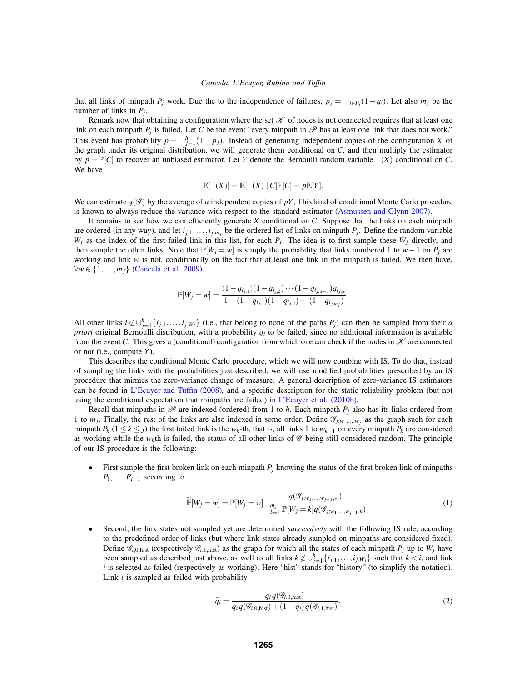that all links of minpath *P<sub>j</sub>* work. Due the to the independence of failures,  $p_j = \prod_{i \in P_j} (1 - q_i)$ . Let also  $m_j$  be the number of links in *Pj*.

Remark now that obtaining a configuration where the set  $K$  of nodes is not connected requires that at least one link on each minpath  $P_j$  is failed. Let C be the event "every minpath in  $\mathcal{P}$  has at least one link that does not work." This event has probability  $p = \prod_{j=1}^{h} (1 - p_j)$ . Instead of generating independent copies of the configuration *X* of the graph under its original distribution, we will generate them conditional on *C*, and then multiply the estimator by  $p = \mathbb{P}[C]$  to recover an unbiased estimator. Let *Y* denote the Bernoulli random variable  $\phi(X)$  conditional on *C*. We have

$$
\mathbb{E}[\phi(X)] = \mathbb{E}[\phi(X) | C] \mathbb{P}[C] = p \mathbb{E}[Y].
$$

We can estimate  $q(\mathscr{G})$  by the average of *n* independent copies of pY, This kind of conditional Monte Carlo procedure is known to always reduce the variance with respect to the standard estimator (Asmussen and Glynn 2007).

It remains to see how we can efficiently generate *X* conditional on *C*. Suppose that the links on each minpath are ordered (in any way), and let  $i_{j,1},...,i_{j,m_j}$  be the ordered list of links on minpath  $P_j$ . Define the random variable  $W_j$  as the index of the first failed link in this list, for each  $P_j$ . The idea is to first sample these  $W_j$  directly, and then sample the other links. Note that  $\mathbb{P}[W_j = w]$  is simply the probability that links numbered 1 to  $w-1$  on  $P_j$  are working and link *w* is not, conditionally on the fact that at least one link in the minpath is failed. We then have, ∀*w* ∈ {1,...,*mj*} (Cancela et al. 2009),

$$
\mathbb{P}[W_j = w] = \frac{(1 - q_{i_{j,1}})(1 - q_{i_{j,2}}) \cdots (1 - q_{i_{j,w-1}}) q_{i_{j,w}}}{1 - (1 - q_{i_{j,1}})(1 - q_{i_{j,2}}) \cdots (1 - q_{i_{j,m_j}})}.
$$

All other links  $i \notin \bigcup_{j=1}^{h} \{i_{j,1}, \ldots, i_{j,W_j}\}$  (i.e., that belong to none of the paths  $P_j$ ) can then be sampled from their *a priori* original Bernoulli distribution, with a probability  $q_i$  to be failed, since no additional information is available from the event *C*. This gives a (conditional) configuration from which one can check if the nodes in  $\mathcal K$  are connected or not (i.e., compute *Y*).

This describes the conditional Monte Carlo procedure, which we will now combine with IS. To do that, instead of sampling the links with the probabilities just described, we will use modified probabilities prescribed by an IS procedure that mimics the zero-variance change of measure. A general description of zero-variance IS estimators can be found in L'Ecuyer and Tuffin (2008), and a specific description for the static reliability problem (but not using the conditional expectation that minpaths are failed) in L'Ecuyer et al. (2010b).

Recall that minpaths in  $\mathscr P$  are indexed (ordered) from 1 to *h*. Each minpath  $P_i$  also has its links ordered from 1 to  $m_j$ . Finally, the rest of the links are also indexed in some order. Define  $\mathscr{G}_{j;w_1,...,w_j}$  as the graph such for each minpath  $P_k$  (1 ≤  $k \le j$ ) the first failed link is the  $w_k$ -th, that is, all links 1 to  $w_{k-1}$  on every minpath  $P_k$  are considered as working while the  $w_k$ th is failed, the status of all other links of  $\mathscr G$  being still considered random. The principle of our IS procedure is the following:

• First sample the first broken link on each minpath  $P_i$  knowing the status of the first broken link of minpaths *P*<sub>1</sub>, . . . , *P*<sub>*j*−1</sub> according to

$$
\widetilde{\mathbb{P}}[W_j = w] = \mathbb{P}[W_j = w] \frac{q(\mathcal{G}_{j;w_1,\dots,w_{j-1},w})}{\sum_{k=1}^{m_j} \mathbb{P}[W_j = k] q(\mathcal{G}_{j;w_1,\dots,w_{j-1},k})}.
$$
\n(1)

• Second, the link states not sampled yet are determined *successively* with the following IS rule, according to the predefined order of links (but where link states already sampled on minpaths are considered fixed). Define  $\mathscr{G}_{i,0,\text{hist}}$  (respectively  $\mathscr{G}_{i,1,\text{hist}}$ ) as the graph for which all the states of each minpath  $P_i$  up to  $W_j$  have been sampled as described just above, as well as all links  $k \notin \bigcup_{j=1}^{h} \{i_{j,1},\ldots,i_{j,W_j}\}$  such that  $k < i$ , and link *i* is selected as failed (respectively as working). Here "hist" stands for "history" (to simplify the notation). Link *i* is sampled as failed with probability

$$
\widetilde{q}_i = \frac{q_i q(\mathcal{G}_{i,0,\text{hist}})}{q_i q(\mathcal{G}_{i,0,\text{hist}}) + (1 - q_i) q(\mathcal{G}_{i,1,\text{hist}})}.
$$
\n(2)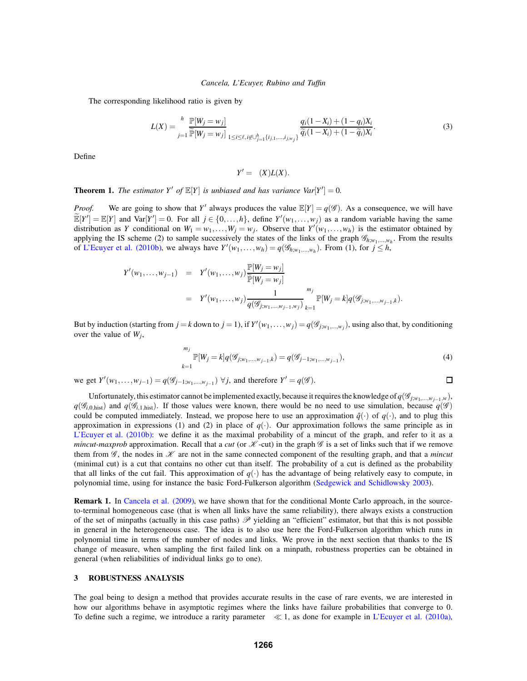The corresponding likelihood ratio is given by

$$
L(X) = \prod_{j=1}^{h} \frac{\mathbb{P}[W_j = w_j]}{\widetilde{\mathbb{P}}[W_j = w_j]} \prod_{1 \le i \le \ell, i \notin \cup_{j=1}^{h} \{i_{j,1}, \dots, i_{j,w_j}\}} \frac{q_i(1 - X_i) + (1 - q_i)X_i}{\widetilde{q}_i(1 - X_i) + (1 - \widetilde{q}_i)X_i}.
$$
(3)

Define

$$
Y' = \phi(X)L(X).
$$

**Theorem 1.** *The estimator*  $Y'$  *of*  $\mathbb{E}[Y]$  *is unbiased and has variance*  $Var[Y'] = 0$ *.* 

*Proof.* We are going to show that *Y'* always produces the value  $\mathbb{E}[Y] = q(\mathscr{G})$ . As a consequence, we will have  $\widetilde{\mathbb{E}}[Y'] = \mathbb{E}[Y]$  and  $\text{Var}[Y'] = 0$ . For all  $j \in \{0, ..., h\}$ , define  $Y'(w_1, ..., w_j)$  as a random variable having the same distribution as *Y* conditional on  $W_1 = w_1, \ldots, W_j = w_j$ . Observe that  $Y'(w_1, \ldots, w_h)$  is the estimator obtained by applying the IS scheme (2) to sample successively the states of the links of the graph  $\mathcal{G}_{h;w_1,...,w_h}$ . From the results of L'Ecuyer et al. (2010b), we always have  $Y'(w_1, \ldots, w_h) = q(\mathcal{G}_{h;w_1,\ldots,w_h})$ . From (1), for  $j \leq h$ ,

$$
Y'(w_1, ..., w_{j-1}) = Y'(w_1, ..., w_j) \frac{\mathbb{P}[W_j = w_j]}{\widetilde{\mathbb{P}}[W_j = w_j]}
$$
  
=  $Y'(w_1, ..., w_j) \frac{1}{q(\mathscr{G}_{j;w_1, ..., w_{j-1}, w_j})} \sum_{k=1}^{m_j} \mathbb{P}[W_j = k] q(\mathscr{G}_{j;w_1, ..., w_{j-1}, k}).$ 

But by induction (starting from  $j = k$  down to  $j = 1$ ), if  $Y'(w_1, \ldots, w_j) = q(\mathscr{G}_{j;w_1,\ldots,w_j})$ , using also that, by conditioning over the value of *Wj*,

$$
\sum_{k=1}^{m_j} \mathbb{P}[W_j = k] q(\mathcal{G}_{j;w_1,\dots,w_{j-1},k}) = q(\mathcal{G}_{j-1;w_1,\dots,w_{j-1}}),
$$
\n(4)

 $\Box$ 

 $\text{we get } Y'(w_1, \ldots, w_{j-1}) = q(\mathcal{G}_{j-1;w_1, \ldots, w_{j-1}}) \ \forall j, \text{ and therefore } Y' = q(\mathcal{G}).$ 

Unfortunately, this estimator cannot be implemented exactly, because it requires the knowledge of 
$$
q(\mathcal{G}_{j;w_1,\ldots,w_{j-1},w})
$$
,  $q(\mathcal{G}_{i,0,\text{hist}})$  and  $q(\mathcal{G}_{i,1,\text{hist}})$ . If those values were known, there would be no need to use simulation, because  $q(\mathcal{G})$  could be computed immediately. Instead, we propose here to use an approximation  $\hat{q}(\cdot)$  of  $q(\cdot)$ , and to plug this approximation in expressions (1) and (2) in place of  $q(\cdot)$ . Our approximation follows the same principle as in L'Ecuyer et al. (2010b): we define it as the maximal probability of a mincut of the graph, and refer to it as a *mincut-maxprob* approximation. Recall that a *cut* (or  $\mathcal{K}$ -cut) in the graph  $\mathcal{G}$  is a set of links such that if we remove them from  $\mathcal{G}$ , the nodes in  $\mathcal{K}$  are not in the same connected component of the resulting graph, and that a *mincut* (minimal cut) is a cut that contains no other cut than itself. The probability of a cut is defined as the probability that all links of the cut fail. This approximation of  $q(\cdot)$  has the advantage of being relatively easy to compute, in polynomial time, using for instance the basic Ford-Fulkerson algorithm (Sedgewick and Schidlowsky 2003).

**Remark 1.** In Cancela et al. (2009), we have shown that for the conditional Monte Carlo approach, in the sourceto-terminal homogeneous case (that is when all links have the same reliability), there always exists a construction of the set of minpaths (actually in this case paths)  $\mathscr P$  yielding an "efficient" estimator, but that this is not possible in general in the heterogeneous case. The idea is to also use here the Ford-Fulkerson algorithm which runs in polynomial time in terms of the number of nodes and links. We prove in the next section that thanks to the IS change of measure, when sampling the first failed link on a minpath, robustness properties can be obtained in general (when reliabilities of individual links go to one).

## **3 ROBUSTNESS ANALYSIS**

The goal being to design a method that provides accurate results in the case of rare events, we are interested in how our algorithms behave in asymptotic regimes where the links have failure probabilities that converge to 0. To define such a regime, we introduce a rarity parameter  $\varepsilon \ll 1$ , as done for example in L'Ecuyer et al. (2010a),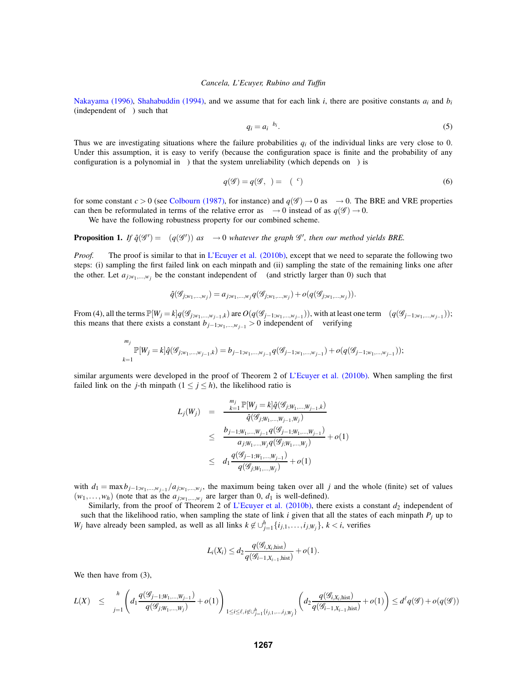Nakayama (1996), Shahabuddin (1994), and we assume that for each link *i*, there are positive constants *ai* and *bi* (independent of  $\varepsilon$ ) such that

$$
q_i = a_i \varepsilon^{b_i}.\tag{5}
$$

Thus we are investigating situations where the failure probabilities  $q_i$  of the individual links are very close to 0. Under this assumption, it is easy to verify (because the configuration space is finite and the probability of any configuration is a polynomial in  $\varepsilon$ ) that the system unreliability (which depends on  $\varepsilon$ ) is

$$
q(\mathcal{G}) = q(\mathcal{G}, \varepsilon) = \Theta(\varepsilon^c)
$$
\n(6)

for some constant  $c > 0$  (see Colbourn (1987), for instance) and  $q(\mathscr{G}) \to 0$  as  $\varepsilon \to 0$ . The BRE and VRE properties can then be reformulated in terms of the relative error as  $\varepsilon \to 0$  instead of as  $q(\mathscr{G}) \to 0$ .

We have the following robustness property for our combined scheme.

**Proposition 1.** *If*  $\hat{q}(\mathscr{G}') = \Theta(q(\mathscr{G}'))$  *as*  $\varepsilon \to 0$  *whatever the graph*  $\mathscr{G}'$ *, then our method yields BRE.* 

*Proof.* The proof is similar to that in L'Ecuyer et al. (2010b), except that we need to separate the following two steps: (i) sampling the first failed link on each minpath and (ii) sampling the state of the remaining links one after the other. Let  $a_{j;w_1,...,w_j}$  be the constant independent of  $\varepsilon$  (and strictly larger than 0) such that

$$
\hat{q}(\mathcal{G}_{j;w_1,...,w_j}) = a_{j;w_1,...,w_j} q(\mathcal{G}_{j;w_1,...,w_j}) + o(q(\mathcal{G}_{j;w_1,...,w_j})).
$$

From (4), all the terms  $\mathbb{P}[W_j = k]q(\mathscr{G}_{j;w_1,\ldots,w_{j-1},k})$  are  $O(q(\mathscr{G}_{j-1;w_1,\ldots,w_{j-1}}))$ , with at least one term  $\Theta(q(\mathscr{G}_{j-1;w_1,\ldots,w_{j-1}}))$ ; this means that there exists a constant  $b_{j-1;w_1,\dots,w_{j-1}} > 0$  independent of  $\varepsilon$  verifying

$$
\sum_{k=1}^{m_j} \mathbb{P}[W_j = k] \hat{q}(\mathcal{G}_{j;w_1,\ldots,w_{j-1},k}) = b_{j-1;w_1,\ldots,w_{j-1}} q(\mathcal{G}_{j-1;w_1,\ldots,w_{j-1}}) + o(q(\mathcal{G}_{j-1;w_1,\ldots,w_{j-1}}));
$$

similar arguments were developed in the proof of Theorem 2 of L'Ecuyer et al. (2010b). When sampling the first failed link on the *j*-th minpath  $(1 \le j \le h)$ , the likelihood ratio is

$$
L_j(W_j) = \frac{\sum_{k=1}^{m_j} \mathbb{P}[W_j = k] \hat{q}(\mathscr{G}_{j;W_1,\ldots,W_{j-1},k})}{\hat{q}(\mathscr{G}_{j;W_1,\ldots,W_{j-1},W_j})}
$$
  
\n
$$
\leq \frac{b_{j-1;W_1,\ldots,W_{j-1}} q(\mathscr{G}_{j-1;W_1,\ldots,W_{j-1}})}{a_{j;W_1,\ldots,W_j} q(\mathscr{G}_{j;W_1,\ldots,W_j})} + o(1)
$$
  
\n
$$
\leq d_1 \frac{q(\mathscr{G}_{j-1;W_1,\ldots,W_{j-1}})}{q(\mathscr{G}_{j;W_1,\ldots,W_j})} + o(1)
$$

with  $d_1 = \max b_{j-1;w_1,...,w_{j-1}}/a_{j;w_1,...,w_j}$ , the maximum being taken over all *j* and the whole (finite) set of values  $(w_1,...,w_h)$  (note that as the  $a_{j;w_1,...,w_j}$  are larger than 0,  $d_1$  is well-defined).

Similarly, from the proof of Theorem 2 of L'Ecuyer et al. (2010b), there exists a constant  $d_2$  independent of  $\varepsilon$  such that the likelihood ratio, when sampling the state of link *i* given that all the states of each minpath  $P_j$  up to *W<sub>j</sub>* have already been sampled, as well as all links  $k \notin \bigcup_{j=1}^{h} \{i_{j,1}, \ldots, i_{j,W_j}\}, k < i$ , verifies

$$
L_i(X_i) \leq d_2 \frac{q(\mathcal{G}_{i,X_i,\text{hist}})}{q(\mathcal{G}_{i-1,X_{i-1},\text{hist}})} + o(1).
$$

We then have from  $(3)$ ,

$$
L(X) \quad \leq \quad \prod_{j=1}^h \left( d_1 \frac{q(\mathscr{G}_{j-1;W_1,\ldots,W_{j-1}})}{q(\mathscr{G}_{j;W_1,\ldots,W_j})} + o(1) \right) \prod_{1 \leq i \leq \ell, \, i \not \in \cup_{j=1}^h \{i_{j,1},\ldots,i_{j,W_j}\}} \left( d_2 \frac{q(\mathscr{G}_{i,X_i,\text{hist}})}{q(\mathscr{G}_{i-1,X_{i-1},\text{hist}})} + o(1) \right) \leq d^{\ell} q(\mathscr{G}) + o(q(\mathscr{G}))
$$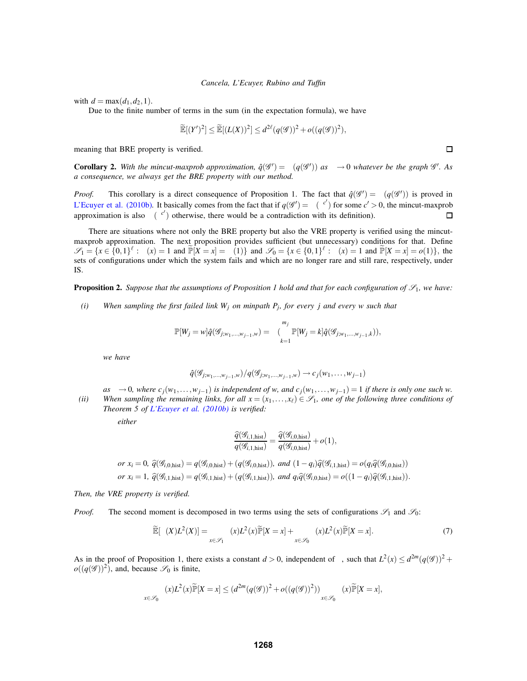with  $d = \max(d_1, d_2, 1)$ .

Due to the finite number of terms in the sum (in the expectation formula), we have

$$
\widetilde{\mathbb{E}}[(Y')^2] \leq \widetilde{\mathbb{E}}[(L(X))^2] \leq d^{2\ell}(q(\mathscr{G}))^2 + o((q(\mathscr{G}))^2),
$$

meaning that BRE property is verified.

**Corollary 2.** With the mincut-maxprob approximation,  $\hat{q}(\mathscr{G}') = \Theta(q(\mathscr{G}'))$  as  $\varepsilon \to 0$  whatever be the graph  $\mathscr{G}'$ . As *a consequence, we always get the BRE property with our method.*

*Proof.* This corollary is a direct consequence of Proposition 1. The fact that  $\hat{q}(\mathscr{G}') = \Theta(q(\mathscr{G}'))$  is proved in L'Ecuyer et al. (2010b). It basically comes from the fact that if  $q(\mathscr{G}') = \Theta(\varepsilon^{c'})$  for some  $c' > 0$ , the mincut-maxprob approximation is also  $\Theta(\varepsilon^{c'})$  otherwise, there would be a contradiction with its definition).  $\Box$ 

There are situations where not only the BRE property but also the VRE property is verified using the mincutmaxprob approximation. The next proposition provides sufficient (but unnecessary) conditions for that. Define  $\mathcal{S}_1 = \{x \in \{0,1\}^{\ell} : \phi(x) = 1 \text{ and } \widetilde{\mathbb{P}}[X = x] = \Theta(1)\}$  and  $\mathcal{S}_0 = \{x \in \{0,1\}^{\ell} : \phi(x) = 1 \text{ and } \widetilde{\mathbb{P}}[X = x] = o(1)\},$  the sets of configurations under which the system fails and which are no longer rare and still rare, respectively, under IS.

**Proposition 2.** Suppose that the assumptions of Proposition 1 hold and that for each configuration of  $\mathcal{S}_1$ , we have:

*(i) When sampling the first failed link Wj on minpath Pj, for every j and every w such that*

$$
\mathbb{P}[W_j=w]\hat{q}(\mathcal{G}_{j;w_1,\ldots,w_{j-1},w})=\Theta(\sum_{k=1}^{m_j}\mathbb{P}[W_j=k]\hat{q}(\mathcal{G}_{j;w_1,\ldots,w_{j-1},k})),
$$

*we have*

$$
\hat{q}(\mathcal{G}_{j;w_1,\ldots,w_{j-1},w})/q(\mathcal{G}_{j;w_1,\ldots,w_{j-1},w})\to c_j(w_1,\ldots,w_{j-1})
$$

 $as \varepsilon \to 0$ , where  $c_j(w_1, \ldots, w_{j-1})$  *is independent of w, and c<sub>j</sub>*(*w*<sub>1</sub>,...,*w*<sub>*i*−1</sub>) = 1 *if there is only one such w. (ii)* When sampling the remaining links, for all  $x = (x_1, \ldots, x_\ell) \in \mathcal{S}_1$ , one of the following three conditions of *Theorem 5 of L'Ecuyer et al. (2010b) is verified:*

*either*

$$
\frac{\widehat{q}(\mathcal{G}_{i,1,\text{hist}})}{q(\mathcal{G}_{i,1,\text{hist}})} = \frac{\widehat{q}(\mathcal{G}_{i,0,\text{hist}})}{q(\mathcal{G}_{i,0,\text{hist}})} + o(1),
$$
\n*or*  $x_i = 0$ ,  $\widehat{q}(\mathcal{G}_{i,0,\text{hist}}) = q(\mathcal{G}_{i,0,\text{hist}}) + (q(\mathcal{G}_{i,0,\text{hist}}))$ , and  $(1 - q_i)\widehat{q}(\mathcal{G}_{i,1,\text{hist}}) = o(q_i\widehat{q}(\mathcal{G}_{i,0,\text{hist}}))$   
\n*or*  $x_i = 1$ ,  $\widehat{q}(\mathcal{G}_{i,1,\text{hist}}) = q(\mathcal{G}_{i,1,\text{hist}}) + (q(\mathcal{G}_{i,1,\text{hist}}))$ , and  $q_i\widehat{q}(\mathcal{G}_{i,0,\text{hist}}) = o((1 - q_i)\widehat{q}(\mathcal{G}_{i,1,\text{hist}}))$ .

*Then, the VRE property is verified.*

*Proof.* The second moment is decomposed in two terms using the sets of configurations  $\mathscr{S}_1$  and  $\mathscr{S}_0$ :

$$
\widetilde{\mathbb{E}}[\phi(X)L^{2}(X)] = \sum_{x \in \mathscr{S}_{1}} \phi(x)L^{2}(x)\widetilde{\mathbb{P}}[X=x] + \sum_{x \in \mathscr{S}_{0}} \phi(x)L^{2}(x)\widetilde{\mathbb{P}}[X=x].
$$
\n(7)

As in the proof of Proposition 1, there exists a constant  $d > 0$ , independent of  $\varepsilon$ , such that  $L^2(x) \leq d^{2m}(q(\mathscr{G}))^2$  +  $o((q(\mathscr{G}))^2)$ , and, because  $\mathscr{S}_0$  is finite,

$$
\sum_{x \in \mathscr{S}_0} \phi(x) L^2(x) \widetilde{\mathbb{P}}[X=x] \leq (d^{2m}(q(\mathscr{G}))^2 + o((q(\mathscr{G}))^2)) \sum_{x \in \mathscr{S}_0} \phi(x) \widetilde{\mathbb{P}}[X=x],
$$

 $\Box$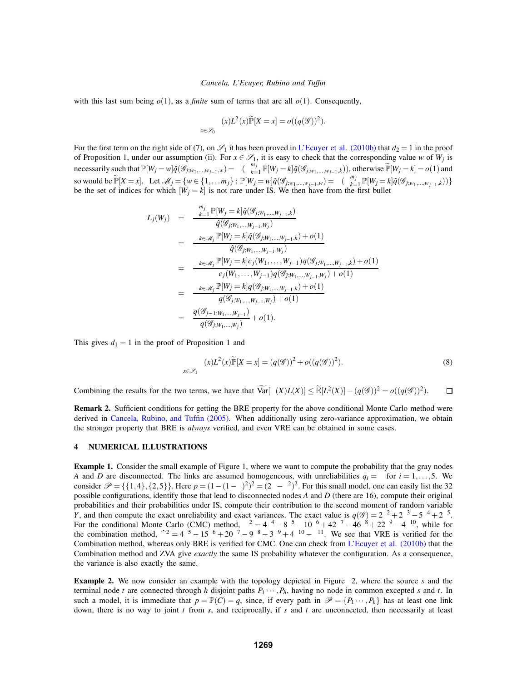with this last sum being  $o(1)$ , as a *finite* sum of terms that are all  $o(1)$ . Consequently,

$$
\sum_{x \in \mathscr{S}_0} \phi(x) L^2(x) \widetilde{\mathbb{P}}[X = x] = o((q(\mathscr{G}))^2).
$$

For the first term on the right side of (7), on  $\mathscr{S}_1$  it has been proved in L'Ecuyer et al. (2010b) that  $d_2 = 1$  in the proof of Proposition 1, under our assumption (ii). For  $x \in \mathscr{S}_1$ , it is easy to check that the corresponding value *w* of  $W_i$  is necessarily such that  $\mathbb{P}[W_j = w] \hat{q}(\mathcal{G}_{j;w_1,\dots,w_{j-1},w}) = \Theta(\sum_{k=1}^{m_j} \mathbb{P}[W_j = k] \hat{q}(\mathcal{G}_{j;w_1,\dots,w_{j-1},k}))$ , otherwise  $\widetilde{\mathbb{P}}[W_j = k] = o(1)$  and so would be  $\widetilde{\mathbb{P}}[X = x]$ . Let  $\mathcal{M}_j = \{w \in \{1, ..., m_j\} : \mathbb{P}[W_j = w] \hat{q}(\mathcal{G}_{j;w_1,...,w_{j-1},w}) = \Theta(\sum_{k=1}^{m_j} \mathbb{P}[W_j = k] \hat{q}(\mathcal{G}_{j;w_1,...,w_{j-1},k}))\}$ <br>be the set of indices for which  $[W_j = k]$  is not rare under IS. We then

$$
L_j(W_j) = \frac{\sum_{k=1}^{m_j} \mathbb{P}[W_j = k] \hat{q}(\mathscr{G}_{j;W_1,\ldots,W_{j-1},k})}{\hat{q}(\mathscr{G}_{j;W_1,\ldots,W_{j-1},W_j})}
$$
  
\n
$$
= \frac{\sum_{k \in \mathscr{M}_j} \mathbb{P}[W_j = k] \hat{q}(\mathscr{G}_{j;W_1,\ldots,W_{j-1},k}) + o(1)}{\hat{q}(\mathscr{G}_{j;W_1,\ldots,W_{j-1},W_j})}
$$
  
\n
$$
= \frac{\sum_{k \in \mathscr{M}_j} \mathbb{P}[W_j = k] c_j(W_1,\ldots,W_{j-1}) q(\mathscr{G}_{j;W_1,\ldots,W_{j-1},k}) + o(1)}{c_j(W_1,\ldots,W_{j-1}) q(\mathscr{G}_{j;W_1,\ldots,W_{j-1},W_j}) + o(1)}
$$
  
\n
$$
= \frac{\sum_{k \in \mathscr{M}_j} \mathbb{P}[W_j = k] q(\mathscr{G}_{j;W_1,\ldots,W_{j-1},k}) + o(1)}{q(\mathscr{G}_{j;W_1,\ldots,W_{j-1}})} + o(1).
$$

This gives  $d_1 = 1$  in the proof of Proposition 1 and

$$
\sum_{x \in \mathscr{S}_1} \phi(x) L^2(x) \widetilde{\mathbb{P}}[X = x] = (q(\mathscr{G}))^2 + o((q(\mathscr{G}))^2).
$$
\n(8)

Combining the results for the two terms, we have that  $\widehat{\text{Var}}[\phi(X)L(X)] \leq \widetilde{\mathbb{E}}[L^2(X)] - (q(\mathscr{G}))^2 = o((q(\mathscr{G}))^2)$ .  $\Box$ 

**Remark 2.** Sufficient conditions for getting the BRE property for the above conditional Monte Carlo method were derived in Cancela, Rubino, and Tuffin (2005). When additionally using zero-variance approximation, we obtain the stronger property that BRE is *always* verified, and even VRE can be obtained in some cases.

## **4 NUMERICAL ILLUSTRATIONS**

**Example 1.** Consider the small example of Figure 1, where we want to compute the probability that the gray nodes *A* and *D* are disconnected. The links are assumed homogeneous, with unreliabilities  $q_i = \varepsilon$  for  $i = 1, \ldots, 5$ . We consider  $\mathcal{P} = \{\{1,4\},\{2,5\}\}\.$  Here  $p = (1 - (1 - \varepsilon)^2)^2 = (2\varepsilon - \varepsilon^2)^2$ . For this small model, one can easily list the 32 possible configurations, identify those that lead to disconnected nodes *A* and *D* (there are 16), compute their original probabilities and their probabilities under IS, compute their contribution to the second moment of random variable *Y*, and then compute the exact unreliability and exact variances. The exact value is  $q(\mathscr{G}) = 2\varepsilon^2 + 2\varepsilon^3 - 5\varepsilon^4 + 2\varepsilon^5$ . For the conditional Monte Carlo (CMC) method,  $\sigma^2 = 4\epsilon^4 - 8\epsilon^5 - 10\epsilon^6 + 42\epsilon^7 - 46\epsilon^8 + 22\epsilon^9 - 4\epsilon^{10}$ , while for the combination method,  $\hat{\sigma}^2 = 4\varepsilon^5 - 15\varepsilon^6 + 20\varepsilon^7 - 9\varepsilon^8 - 3\varepsilon^9 + 4\varepsilon^{10} - \varepsilon^{11}$ . We see that VRE is verified for the Combination method, whereas only BRE is verified for CMC. One can check from L'Ecuyer et al. (2010b) that the Combination method and ZVA give *exactly* the same IS probability whatever the configuration. As a consequence, the variance is also exactly the same.

**Example 2.** We now consider an example with the topology depicted in Figure 2, where the source *s* and the terminal node *t* are connected through *h* disjoint paths  $P_1 \cdots, P_h$ , having no node in common excepted *s* and *t*. In such a model, it is immediate that  $p = \mathbb{P}(C) = q$ , since, if every path in  $\mathcal{P} = \{P_1 \cdots, P_h\}$  has at least one link down, there is no way to joint *t* from *s*, and reciprocally, if *s* and *t* are unconnected, then necessarily at least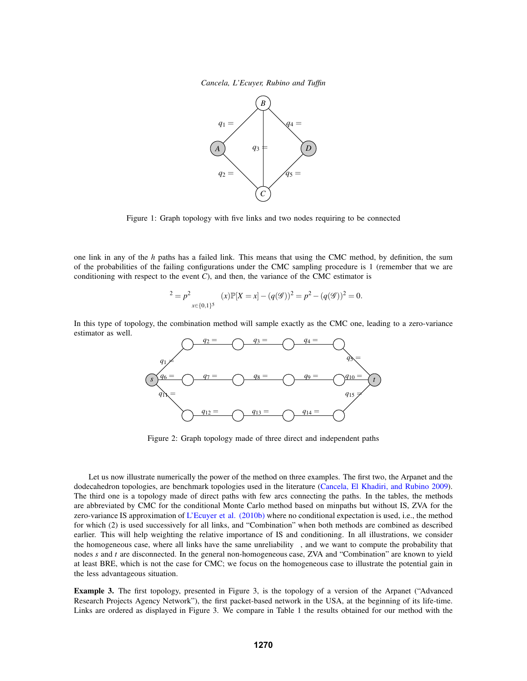

Figure 1: Graph topology with five links and two nodes requiring to be connected

one link in any of the *h* paths has a failed link. This means that using the CMC method, by definition, the sum of the probabilities of the failing configurations under the CMC sampling procedure is 1 (remember that we are conditioning with respect to the event *C*), and then, the variance of the CMC estimator is

$$
\sigma^{2} = p^{2} \sum_{x \in \{0,1\}^{5}} \phi(x) \mathbb{P}[X = x] - (q(\mathcal{G}))^{2} = p^{2} - (q(\mathcal{G}))^{2} = 0.
$$

In this type of topology, the combination method will sample exactly as the CMC one, leading to a zero-variance estimator as well.



Figure 2: Graph topology made of three direct and independent paths

Let us now illustrate numerically the power of the method on three examples. The first two, the Arpanet and the dodecahedron topologies, are benchmark topologies used in the literature (Cancela, El Khadiri, and Rubino 2009). The third one is a topology made of direct paths with few arcs connecting the paths. In the tables, the methods are abbreviated by CMC for the conditional Monte Carlo method based on minpaths but without IS, ZVA for the zero-variance IS approximation of L'Ecuyer et al. (2010b) where no conditional expectation is used, i.e., the method for which (2) is used successively for all links, and "Combination" when both methods are combined as described earlier. This will help weighting the relative importance of IS and conditioning. In all illustrations, we consider the homogeneous case, where all links have the same unreliability  $\varepsilon$ , and we want to compute the probability that nodes *s* and *t* are disconnected. In the general non-homogeneous case, ZVA and "Combination" are known to yield at least BRE, which is not the case for CMC; we focus on the homogeneous case to illustrate the potential gain in the less advantageous situation.

**Example 3.** The first topology, presented in Figure 3, is the topology of a version of the Arpanet ("Advanced Research Projects Agency Network"), the first packet-based network in the USA, at the beginning of its life-time. Links are ordered as displayed in Figure 3. We compare in Table 1 the results obtained for our method with the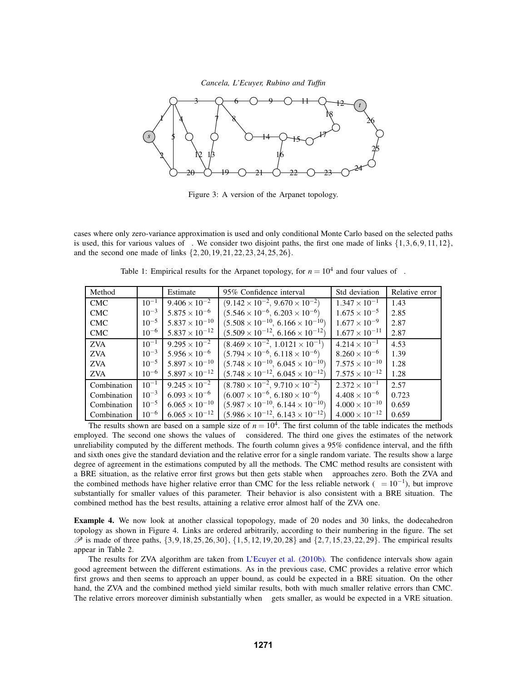

Figure 3: A version of the Arpanet topology.

cases where only zero-variance approximation is used and only conditional Monte Carlo based on the selected paths is used, this for various values of  $\varepsilon$ . We consider two disjoint paths, the first one made of links  $\{1,3,6,9,11,12\}$ , and the second one made of links {2,20,19,21,22,23,24,25,26}.

Table 1: Empirical results for the Arpanet topology, for  $n = 10^4$  and four values of  $\varepsilon$ .

| Method      | ε         | Estimate                | Std deviation<br>95% Confidence interval         |                         | Relative error |
|-------------|-----------|-------------------------|--------------------------------------------------|-------------------------|----------------|
| <b>CMC</b>  | $10^{-1}$ | $9.406 \times 10^{-2}$  | $(9.142 \times 10^{-2}, 9.670 \times 10^{-2})$   | $1.347 \times 10^{-1}$  | 1.43           |
| <b>CMC</b>  | $10^{-3}$ | $5.875 \times 10^{-6}$  | $(5.546 \times 10^{-6}, 6.203 \times 10^{-6})$   | $1.675 \times 10^{-5}$  | 2.85           |
| <b>CMC</b>  | $10^{-5}$ | $5.837 \times 10^{-10}$ | $(5.508 \times 10^{-10}, 6.166 \times 10^{-10})$ | $1.677 \times 10^{-9}$  | 2.87           |
| <b>CMC</b>  | $10^{-6}$ | $5.837 \times 10^{-12}$ | $(5.509 \times 10^{-12}, 6.166 \times 10^{-12})$ | $1.677 \times 10^{-11}$ | 2.87           |
| <b>ZVA</b>  | $10^{-1}$ | $9.295 \times 10^{-2}$  | $(8.469 \times 10^{-2}, 1.0121 \times 10^{-1})$  | $4.214 \times 10^{-1}$  | 4.53           |
| <b>ZVA</b>  | $10^{-3}$ | $5.956 \times 10^{-6}$  | $(5.794 \times 10^{-6}, 6.118 \times 10^{-6})$   | $8.260 \times 10^{-6}$  | 1.39           |
| <b>ZVA</b>  | $10^{-5}$ | $5.897 \times 10^{-10}$ | $(5.748 \times 10^{-10}, 6.045 \times 10^{-10})$ | $7.575 \times 10^{-10}$ | 1.28           |
| <b>ZVA</b>  | $10^{-6}$ | $5.897 \times 10^{-12}$ | $(5.748 \times 10^{-12}, 6.045 \times 10^{-12})$ | $7.575 \times 10^{-12}$ | 1.28           |
| Combination | $10^{-1}$ | $9.245 \times 10^{-2}$  | $(8.780 \times 10^{-2}, 9.710 \times 10^{-2})$   | $2.372 \times 10^{-1}$  | 2.57           |
| Combination | $10^{-3}$ | $6.093 \times 10^{-6}$  | $(6.007 \times 10^{-6}, 6.180 \times 10^{-6})$   | $4.408 \times 10^{-6}$  | 0.723          |
| Combination | $10^{-5}$ | $6.065 \times 10^{-10}$ | $(5.987 \times 10^{-10}, 6.144 \times 10^{-10})$ | $4.000 \times 10^{-10}$ | 0.659          |
| Combination | $10^{-6}$ | $6.065 \times 10^{-12}$ | $(5.986 \times 10^{-12}, 6.143 \times 10^{-12})$ | $4.000 \times 10^{-12}$ | 0.659          |

The results shown are based on a sample size of  $n = 10<sup>4</sup>$ . The first column of the table indicates the methods employed. The second one shows the values of  $\varepsilon$  considered. The third one gives the estimates of the network unreliability computed by the different methods. The fourth column gives a 95% confidence interval, and the fifth and sixth ones give the standard deviation and the relative error for a single random variate. The results show a large degree of agreement in the estimations computed by all the methods. The CMC method results are consistent with a BRE situation, as the relative error first grows but then gets stable when  $\varepsilon$  approaches zero. Both the ZVA and the combined methods have higher relative error than CMC for the less reliable network ( $\varepsilon = 10^{-1}$ ), but improve substantially for smaller values of this parameter. Their behavior is also consistent with a BRE situation. The combined method has the best results, attaining a relative error almost half of the ZVA one.

**Example 4.** We now look at another classical topopology, made of 20 nodes and 30 links, the dodecahedron topology as shown in Figure 4. Links are ordered arbitrarily, according to their numbering in the figure. The set  $\mathscr P$  is made of three paths, {3,9,18,25,26,30}, {1,5,12,19,20,28} and {2,7,15,23,22,29}. The empirical results appear in Table 2.

The results for ZVA algorithm are taken from L'Ecuyer et al.  $(2010b)$ . The confidence intervals show again good agreement between the different estimations. As in the previous case, CMC provides a relative error which first grows and then seems to approach an upper bound, as could be expected in a BRE situation. On the other hand, the ZVA and the combined method yield similar results, both with much smaller relative errors than CMC. The relative errors moreover diminish substantially when <sup>ε</sup> gets smaller, as would be expected in a VRE situation.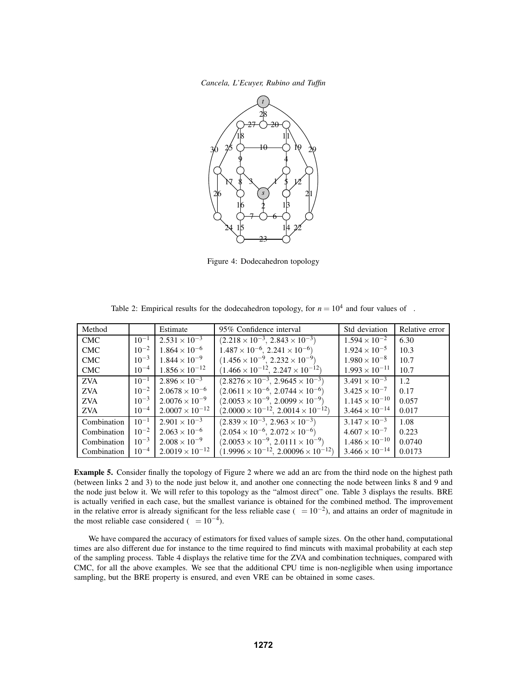

Figure 4: Dodecahedron topology

| Method      | $\mathcal{E}$ | Estimate                 | Std deviation<br>95% Confidence interval            |                         | Relative error |
|-------------|---------------|--------------------------|-----------------------------------------------------|-------------------------|----------------|
| <b>CMC</b>  | $10^{-1}$     | $2.531 \times 10^{-3}$   | $(2.218 \times 10^{-3}, 2.843 \times 10^{-3})$      | $1.594 \times 10^{-2}$  | 6.30           |
| <b>CMC</b>  | $10^{-2}$     | $1.864 \times 10^{-6}$   | $1.487 \times 10^{-6}$ , $2.241 \times 10^{-6}$ )   | $1.924 \times 10^{-5}$  | 10.3           |
| <b>CMC</b>  | $10^{-3}$     | $1.844 \times 10^{-9}$   | $(1.456 \times 10^{-9}, 2.232 \times 10^{-9})$      | $1.980 \times 10^{-8}$  | 10.7           |
| <b>CMC</b>  | $10^{-4}$     | $1.856 \times 10^{-12}$  | $(1.466 \times 10^{-12}, 2.247 \times 10^{-12})$    | $1.993 \times 10^{-11}$ | 10.7           |
| <b>ZVA</b>  | $10^{-1}$     | $2.896 \times 10^{-3}$   | $(2.8276 \times 10^{-3}, 2.9645 \times 10^{-3})$    | $3.491 \times 10^{-3}$  | 1.2.           |
| <b>ZVA</b>  | $10^{-2}$     | $2.0678 \times 10^{-6}$  | $(2.0611 \times 10^{-6}, 2.0744 \times 10^{-6})$    | $3.425 \times 10^{-7}$  | 0.17           |
| <b>ZVA</b>  | $10^{-3}$     | $2.0076 \times 10^{-9}$  | $(2.0053 \times 10^{-9}, 2.0099 \times 10^{-9})$    | $1.145 \times 10^{-10}$ | 0.057          |
| <b>ZVA</b>  | $10^{-4}$     | $2.0007 \times 10^{-12}$ | $(2.0000 \times 10^{-12}, 2.0014 \times 10^{-12})$  | $3.464 \times 10^{-14}$ | 0.017          |
| Combination | $10^{-1}$     | $2.901 \times 10^{-3}$   | $(2.839 \times 10^{-3}, 2.963 \times 10^{-3})$      | $3.147 \times 10^{-3}$  | 1.08           |
| Combination | $10^{-2}$     | $2.063 \times 10^{-6}$   | $(2.054 \times 10^{-6}, 2.072 \times 10^{-6})$      | $4.607 \times 10^{-7}$  | 0.223          |
| Combination | $10^{-3}$     | $2.008 \times 10^{-9}$   | $(2.0053 \times 10^{-9}, 2.0111 \times 10^{-9})$    | $1.486 \times 10^{-10}$ | 0.0740         |
| Combination | $10^{-4}$     | $2.0019 \times 10^{-12}$ | $(1.9996 \times 10^{-12}, 2.00096 \times 10^{-12})$ | $3.466 \times 10^{-14}$ | 0.0173         |

Table 2: Empirical results for the dodecahedron topology, for  $n = 10^4$  and four values of  $\varepsilon$ .

**Example 5.** Consider finally the topology of Figure 2 where we add an arc from the third node on the highest path (between links 2 and 3) to the node just below it, and another one connecting the node between links 8 and 9 and the node just below it. We will refer to this topology as the "almost direct" one. Table 3 displays the results. BRE is actually verified in each case, but the smallest variance is obtained for the combined method. The improvement in the relative error is already significant for the less reliable case ( $\varepsilon = 10^{-2}$ ), and attains an order of magnitude in the most reliable case considered ( $\varepsilon = 10^{-4}$ ).

We have compared the accuracy of estimators for fixed values of sample sizes. On the other hand, computational times are also different due for instance to the time required to find mincuts with maximal probability at each step of the sampling process. Table 4 displays the relative time for the ZVA and combination techniques, compared with CMC, for all the above examples. We see that the additional CPU time is non-negligible when using importance sampling, but the BRE property is ensured, and even VRE can be obtained in some cases.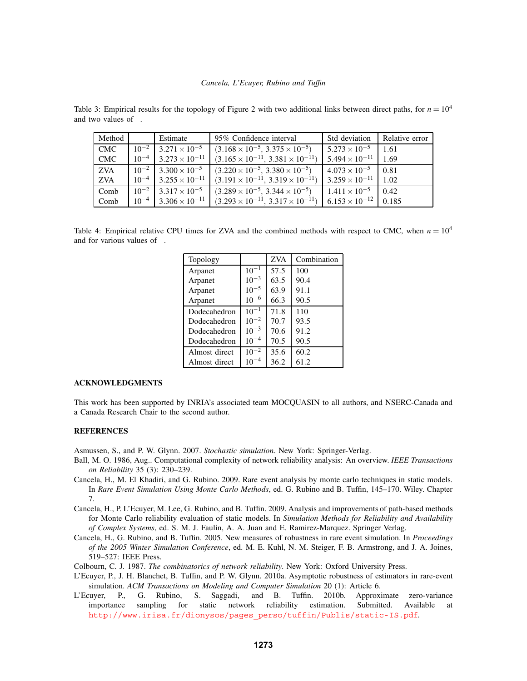| Method     | $\epsilon$ | Estimate                                   | 95% Confidence interval                          | Std deviation                 | Relative error |
|------------|------------|--------------------------------------------|--------------------------------------------------|-------------------------------|----------------|
| <b>CMC</b> | $10^{-2}$  | $3.271 \times 10^{-5}$                     | $(3.168 \times 10^{-5}, 3.375 \times 10^{-5})$   | $5.273 \times 10^{-5}$        | 1.61           |
| <b>CMC</b> |            | $10^{-4}$ 3.273 $\times$ 10 <sup>-11</sup> | $(3.165 \times 10^{-11}, 3.381 \times 10^{-11})$ | $5.494 \times 10^{-11}$ 1.69  |                |
| <b>ZVA</b> |            | $10^{-2}$ 3.300 $\times$ 10 <sup>-5</sup>  | $(3.220 \times 10^{-5}, 3.380 \times 10^{-5})$   | $4.073 \times 10^{-5}$ 0.81   |                |
| <b>ZVA</b> |            | $10^{-4}$ 3.255 $\times$ 10 <sup>-11</sup> | $(3.191 \times 10^{-11}, 3.319 \times 10^{-11})$ | $3.259 \times 10^{-11}$ 1.02  |                |
| Comb       |            | $10^{-2}$ 3.317 $\times$ 10 <sup>-5</sup>  | $(3.289 \times 10^{-5}, 3.344 \times 10^{-5})$   | $1.411 \times 10^{-5}$        | 0.42           |
| Comb       |            | $10^{-4}$ 3.306 $\times 10^{-11}$          | $(3.293 \times 10^{-11}, 3.317 \times 10^{-11})$ | $6.153 \times 10^{-12}$ 0.185 |                |

Table 3: Empirical results for the topology of Figure 2 with two additional links between direct paths, for  $n = 10^4$ and two values of  $\varepsilon$ .

Table 4: Empirical relative CPU times for ZVA and the combined methods with respect to CMC, when  $n = 10^4$ and for various values of  $\varepsilon$ .

| Topology      | ε         | <b>ZVA</b> | Combination |
|---------------|-----------|------------|-------------|
| Arpanet       | $10^{-1}$ | 57.5       | 100         |
| Arpanet       | $10^{-3}$ | 63.5       | 90.4        |
| Arpanet       | $10^{-5}$ | 63.9       | 91.1        |
| Arpanet       | $10^{-6}$ | 66.3       | 90.5        |
| Dodecahedron  | $10^{-1}$ | 71.8       | 110         |
| Dodecahedron  | $10^{-2}$ | 70.7       | 93.5        |
| Dodecahedron  | $10^{-3}$ | 70.6       | 91.2        |
| Dodecahedron  | $10^{-4}$ | 70.5       | 90.5        |
| Almost direct | $10^{-2}$ | 35.6       | 60.2        |
| Almost direct | 10        | 36.2       | 61.2        |

## **ACKNOWLEDGMENTS**

This work has been supported by INRIA's associated team MOCQUASIN to all authors, and NSERC-Canada and a Canada Research Chair to the second author.

## **REFERENCES**

Asmussen, S., and P. W. Glynn. 2007. *Stochastic simulation*. New York: Springer-Verlag.

- Ball, M. O. 1986, Aug.. Computational complexity of network reliability analysis: An overview. *IEEE Transactions on Reliability* 35 (3): 230–239.
- Cancela, H., M. El Khadiri, and G. Rubino. 2009. Rare event analysis by monte carlo techniques in static models. In *Rare Event Simulation Using Monte Carlo Methods*, ed. G. Rubino and B. Tuffin, 145–170. Wiley. Chapter 7.
- Cancela, H., P. L'Ecuyer, M. Lee, G. Rubino, and B. Tuffin. 2009. Analysis and improvements of path-based methods for Monte Carlo reliability evaluation of static models. In *Simulation Methods for Reliability and Availability of Complex Systems*, ed. S. M. J. Faulin, A. A. Juan and E. Ramirez-Marquez. Springer Verlag.
- Cancela, H., G. Rubino, and B. Tuffin. 2005. New measures of robustness in rare event simulation. In *Proceedings of the 2005 Winter Simulation Conference*, ed. M. E. Kuhl, N. M. Steiger, F. B. Armstrong, and J. A. Joines, 519–527: IEEE Press.

Colbourn, C. J. 1987. *The combinatorics of network reliability*. New York: Oxford University Press.

- L'Ecuyer, P., J. H. Blanchet, B. Tuffin, and P. W. Glynn. 2010a. Asymptotic robustness of estimators in rare-event simulation. *ACM Transactions on Modeling and Computer Simulation* 20 (1): Article 6.
- L'Ecuyer, P., G. Rubino, S. Saggadi, and B. Tuffin. 2010b. Approximate zero-variance importance sampling for static network reliability estimation. Submitted. Available http://www.irisa.fr/dionysos/pages\_perso/tuffin/Publis/static-IS.pdf.